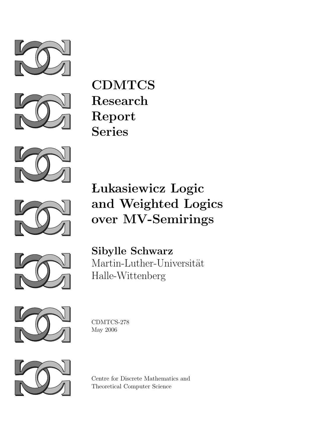



**CDMTCS** Research Report Series





 Lukasiewicz Logic and Weighted Logics over MV-Semirings



Sibylle Schwarz Martin-Luther-Universität Halle-Wittenberg



CDMTCS-278 May 2006



Centre for Discrete Mathematics and Theoretical Computer Science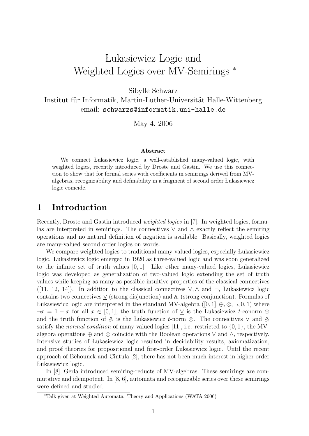## Lukasiewicz Logic and Weighted Logics over MV-Semirings <sup>∗</sup>

Sibylle Schwarz

Institut für Informatik, Martin-Luther-Universität Halle-Wittenberg email: schwarzs@informatik.uni-halle.de

May 4, 2006

#### Abstract

We connect Lukasiewicz logic, a well-established many-valued logic, with weighted logics, recently introduced by Droste and Gastin. We use this connection to show that for formal series with coefficients in semirings derived from MValgebras, recognizability and definability in a fragment of second order Lukasiewicz logic coincide.

#### 1 Introduction

Recently, Droste and Gastin introduced weighted logics in [7]. In weighted logics, formulas are interpreted in semirings. The connectives  $\vee$  and  $\wedge$  exactly reflect the semiring operations and no natural definition of negation is available. Basically, weighted logics are many-valued second order logics on words.

We compare weighted logics to traditional many-valued logics, especially Lukasiewicz logic. Lukasiewicz logic emerged in 1920 as three-valued logic and was soon generalized to the infinite set of truth values  $[0, 1]$ . Like other many-valued logics, Lukasiewicz logic was developed as generalization of two-valued logic extending the set of truth values while keeping as many as possible intuitive properties of the classical connectives ([11, 12, 14]). In addition to the classical connectives  $\vee, \wedge$  and  $\neg$ , Lukasiewicz logic contains two connectives  $\vee$  (strong disjunction) and & (strong conjunction). Formulas of Lukasiewicz logic are interpreted in the standard MV-algebra  $([0,1], \oplus, \otimes, \neg, 0, 1)$  where  $\neg x = 1 - x$  for all  $x \in [0,1]$ , the truth function of  $\vee$  is the Lukasiewicz t-conorm  $\oplus$ and the truth function of & is the Lukasiewicz t-norm ⊗. The connectives  $\vee$  and & satisfy the *normal condition* of many-valued logics [11], i.e. restricted to  $\{0, 1\}$ , the MValgebra operations ⊕ and ⊗ coincide with the Boolean operations ∨ and ∧, respectively. Intensive studies of Lukasiewicz logic resulted in decidability results, axiomatization, and proof theories for propositional and first-order Lukasiewicz logic. Until the recent approach of Běhounek and Cintula [2], there has not been much interest in higher order Lukasiewicz logic.

In [8], Gerla introduced semiring-reducts of MV-algebras. These semirings are commutative and idempotent. In  $[8, 6]$ , automata and recognizable series over these semirings were defined and studied.

<sup>∗</sup>Talk given at Weighted Automata: Theory and Applications (WATA 2006)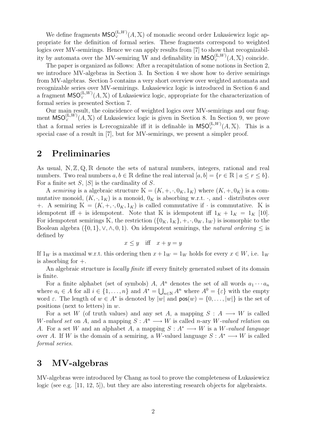We define fragments  $\mathsf{MSO}_{\vee}^{(L,W)}(A,\mathbb{X})$  of monadic second order Lukasiewicz logic appropriate for the definition of formal series. These fragments correspond to weighted logics over MV-semirings. Hence we can apply results from [7] to show that recognizability by automata over the MV-semiring W and definability in  $\mathsf{MSO}_{\vee}^{(\mathbf{L},W)}(A,\mathbb{X})$  coincide.

The paper is organized as follows: After a recapitulation of some notions in Section 2, we introduce MV-algebras in Section 3. In Section 4 we show how to derive semirings from MV-algebras. Section 5 contains a very short overview over weighted automata and recognizable series over MV-semirings. Lukasiewicz logic is introduced in Section 6 and a fragment  $\mathsf{MSO}^{(L,W)}_{\vee}(A,\mathbb{X})$  of Lukasiewicz logic, appropriate for the characterization of formal series is presented Section 7.

Our main result, the coincidence of weighted logics over MV-semirings and our fragment  $\mathsf{MSO}^{(L,W)}_{\vee}(A,\mathbb{X})$  of Lukasiewicz logic is given in Section 8. In Section 9, we prove that a formal series is L-recognizable iff it is definable in  $\mathsf{MSO}_{\vee}^{(\mathbf{L},W)}(A,\mathbb{X})$ . This is a special case of a result in [7], but for MV-semirings, we present a simpler proof.

#### 2 Preliminaries

As usual,  $N, \mathbb{Z}, \mathbb{Q}, \mathbb{R}$  denote the sets of natural numbers, integers, rational and real numbers. Two real numbers  $a, b \in \mathbb{R}$  define the real interval  $[a, b] = \{r \in \mathbb{R} \mid a \le r \le b\}.$ For a finite set  $S$ ,  $|S|$  is the cardinality of  $S$ .

A semiring is a algebraic structure  $\mathbb{K} = (K, +, \cdot, 0_K, 1_K)$  where  $(K, +, 0_K)$  is a commutative monoid,  $(K, \cdot, 1_K)$  is a monoid,  $0_K$  is absorbing w.r.t.  $\cdot$ , and  $\cdot$  distributes over +. A semiring  $\mathbb{K} = (K, +, \cdot, 0_K, 1_K)$  is called commutative if  $\cdot$  is commutative. K is idempotent iff + is idempotent. Note that K is idempotent iff  $1_K + 1_K = 1_K$  [10]. For idempotent semirings K, the restriction  $({0_K, 1_K}, +, \cdot, 0_W, 1_W)$  is isomorphic to the Boolean algebra  $(\{0,1\},\vee,\wedge,0,1)$ . On idempotent semirings, the natural ordering  $\leq$  is defined by

$$
x \le y \quad \text{iff} \quad x + y = y
$$

If  $1_W$  is a maximal w.r.t. this ordering then  $x + 1_W = 1_W$  holds for every  $x \in W$ , i.e.  $1_W$ is absorbing for  $+$ .

An algebraic structure is *locally finite* iff every finitely generated subset of its domain is finite.

For a finite alphabet (set of symbols) A,  $A^n$  denotes the set of all words  $a_1 \cdots a_n$ where  $a_i \in A$  for all  $i \in \{1, ..., n\}$  and  $A^* = \bigcup_{n \in \mathbb{N}} A^n$  where  $A^0 = \{\varepsilon\}$  with the empty word  $\varepsilon$ . The length of  $w \in A^*$  is denoted by  $|w|$  and  $pos(w) = \{0, \ldots, |w|\}$  is the set of positions (next to letters) in w.

For a set W (of truth values) and any set A, a mapping  $S : A \longrightarrow W$  is called W-valued set on A, and a mapping  $S: A^n \longrightarrow W$  is called n-ary W-valued relation on A. For a set W and an alphabet A, a mapping  $S : A^* \longrightarrow W$  is a W-valued language over A. If W is the domain of a semiring, a W-valued language  $S: A^* \longrightarrow W$  is called formal series.

#### 3 MV-algebras

MV-algebras were introduced by Chang as tool to prove the completeness of Lukasiewicz logic (see e.g. [11, 12, 5]), but they are also interesting research objects for algebraists.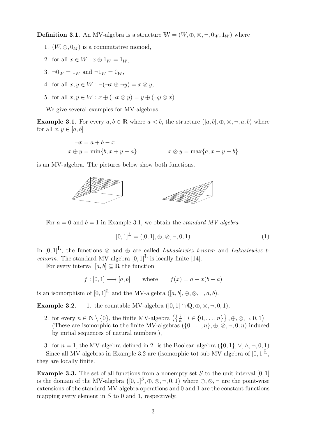**Definition 3.1.** An MV-algebra is a structure  $W = (W, \oplus, \otimes, \neg, 0_W, 1_W)$  where

- 1.  $(W, \oplus, 0_M)$  is a commutative monoid,
- 2. for all  $x \in W : x \oplus 1_W = 1_W$ ,
- 3.  $\neg 0_W = 1_W$  and  $\neg 1_W = 0_W$ ,
- 4. for all  $x, y \in W : \neg(\neg x \oplus \neg y) = x \otimes y$ ,
- 5. for all  $x, y \in W : x \oplus (\neg x \otimes y) = y \oplus (\neg y \otimes x)$

We give several examples for MV-algebras.

**Example 3.1.** For every  $a, b \in \mathbb{R}$  where  $a < b$ , the structure  $([a, b], \oplus, \otimes, \neg, a, b)$  where for all  $x, y \in [a, b]$ 

$$
\neg x = a + b - x
$$
  

$$
x \oplus y = \min\{b, x + y - a\}
$$
  

$$
x \otimes y = \max\{a, x + y - b\}
$$

is an MV-algebra. The pictures below show both functions.



For  $a = 0$  and  $b = 1$  in Example 3.1, we obtain the *standard MV-algebra* 

$$
[0,1]^{\mathbf{L}} = ([0,1], \oplus, \otimes, \neg, 0, 1) \tag{1}
$$

In  $[0, 1]^L$ , the functions  $\otimes$  and  $\oplus$  are called *Lukasiewicz t-norm* and *Lukasiewicz tconorm.* The standard MV-algebra  $[0, 1]^L$  is locally finite [14].

For every interval  $[a, b] \subset \mathbb{R}$  the function

$$
f: [0, 1] \longrightarrow [a, b]
$$
 where  $f(x) = a + x(b - a)$ 

is an isomorphism of  $[0, 1]^L$  and the MV-algebra  $([a, b], \oplus, \otimes, \neg, a, b)$ .

**Example 3.2.** 1. the countable MV-algebra  $([0, 1] \cap \mathbb{Q}, \oplus, \otimes, \neg, 0, 1)$ ,

2. for every  $n \in \mathbb{N} \setminus \{0\}$ , the finite MV-algebra  $\left(\left\{\frac{i}{n} \mid i \in \{0, \ldots, n\}\right\}, \oplus, \otimes, \neg, 0, 1\right)$ (These are isomorphic to the finite MV-algebras  $(\{0,\ldots,n\},\oplus,\otimes,\neg,0,n)$  induced by initial sequences of natural numbers.),

3. for  $n = 1$ , the MV-algebra defined in 2. is the Boolean algebra  $({0, 1}, \vee, \wedge, \neg, 0, 1)$ 

Since all MV-algebras in Example 3.2 are (isomorphic to) sub-MV-algebra of  $[0, 1]^L$ , they are locally finite.

**Example 3.3.** The set of all functions from a nonempty set S to the unit interval  $[0, 1]$ is the domain of the MV-algebra  $([0,1]^S, \oplus, \otimes, \neg, 0, 1)$  where  $\oplus, \otimes, \neg$  are the point-wise extensions of the standard MV-algebra operations and 0 and 1 are the constant functions mapping every element in  $S$  to 0 and 1, respectively.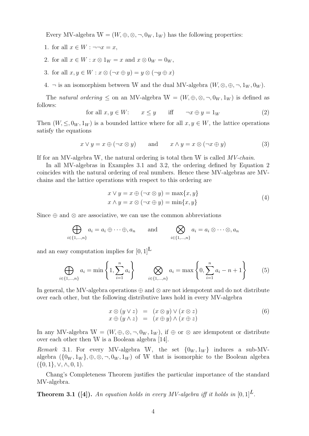Every MV-algebra  $W = (W, \oplus, \otimes, \neg, 0_W, 1_W)$  has the following properties:

- 1. for all  $x \in W : \neg \neg x = x$ ,
- 2. for all  $x \in W : x \otimes 1_W = x$  and  $x \otimes 0_W = 0_W$ ,
- 3. for all  $x, y \in W : x \otimes (\neg x \oplus y) = y \otimes (\neg y \oplus x)$
- 4. ¬ is an isomorphism between W and the dual MV-algebra  $(W, \otimes, \oplus, \neg, 1_W, 0_W)$ .

The natural ordering  $\leq$  on an MV-algebra  $W = (W, \oplus, \otimes, \neg, 0_W, 1_W)$  is defined as follows:

$$
\text{for all } x, y \in W: \qquad x \le y \qquad \text{iff} \qquad \neg x \oplus y = 1_W \tag{2}
$$

Then  $(W, \leq, 0_W, 1_W)$  is a bounded lattice where for all  $x, y \in W$ , the lattice operations satisfy the equations

$$
x \lor y = x \oplus (\neg x \otimes y) \qquad \text{and} \qquad x \land y = x \otimes (\neg x \oplus y) \tag{3}
$$

If for an MV-algebra W, the natural ordering is total then W is called  $MV-chain$ .

In all MV-algebras in Examples 3.1 and 3.2, the ordering defined by Equation 2 coincides with the natural ordering of real numbers. Hence these MV-algebras are MVchains and the lattice operations with respect to this ordering are

$$
x \lor y = x \oplus (\neg x \otimes y) = \max\{x, y\}
$$
  
\n
$$
x \land y = x \otimes (\neg x \oplus y) = \min\{x, y\}
$$
\n(4)

Since  $\oplus$  and  $\otimes$  are associative, we can use the common abbreviations

$$
\bigoplus_{i \in \{1,\dots,n\}} a_i = a_i \oplus \dots \oplus a_n \quad \text{and} \quad \bigotimes_{i \in \{1,\dots,n\}} a_i = a_i \otimes \dots \otimes a_n
$$

and an easy computation implies for  $[0, 1]^L$ 

$$
\bigoplus_{i \in \{1,\dots,n\}} a_i = \min\left\{1, \sum_{i=1}^n a_i\right\} \qquad \bigotimes_{i \in \{1,\dots,n\}} a_i = \max\left\{0, \sum_{i=1}^n a_i - n + 1\right\} \tag{5}
$$

In general, the MV-algebra operations ⊕ and ⊗ are not idempotent and do not distribute over each other, but the following distributive laws hold in every MV-algebra

$$
x \otimes (y \vee z) = (x \otimes y) \vee (x \otimes z) \n x \oplus (y \wedge z) = (x \oplus y) \wedge (x \oplus z)
$$
\n(6)

In any MV-algebra  $\mathbb{W} = (W, \oplus, \otimes, \neg, 0_W, 1_W)$ , if  $\oplus$  or  $\otimes$  are idempotent or distribute over each other then W is a Boolean algebra [14].

Remark 3.1. For every MV-algebra W, the set  $\{0_W, 1_W\}$  induces a sub-MValgebra  $({0_W, 1_W}, \oplus, \otimes, \neg, 0_W, 1_W)$  of W that is isomorphic to the Boolean algebra  $({0, 1}, \vee, \wedge, 0, 1).$ 

Chang's Completeness Theorem justifies the particular importance of the standard MV-algebra.

**Theorem 3.1** ([4]). An equation holds in every MV-algebra iff it holds in  $[0, 1]^L$ .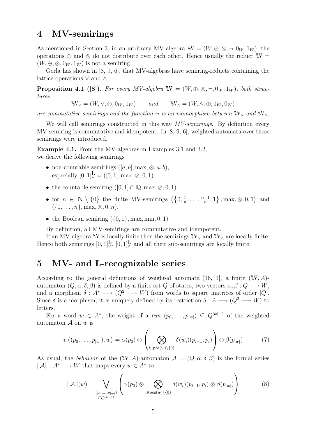#### 4 MV-semirings

As mentioned in Section 3, in an arbitrary MV-algebra  $W = (W, \oplus, \otimes, \neg, 0_W, 1_W)$ , the operations  $\oplus$  and  $\otimes$  do not distribute over each other. Hence usually the reduct W =  $(W, \oplus, \otimes, 0_W, 1_W)$  is not a semiring.

Gerla has shown in [8, 9, 6], that MV-algebras have semiring-reducts containing the lattice operations ∨ and ∧.

**Proposition 4.1** ([8]). For every MV-algebra  $W = (W, \oplus, \otimes, \neg, 0_W, 1_W)$ , both structures

 $W_{\vee} = (W, \vee, \otimes, 0_W, 1_W)$  and  $W_{\wedge} = (W, \wedge, \oplus, 1_W, 0_W)$ 

are commutative semirings and the function  $\neg$  is an isomorphism between  $\mathbb{W}_{\vee}$  and  $\mathbb{W}_{\wedge}$ .

We will call semirings constructed in this way  $MV\text{-}semirings$ . By definition every MV-semiring is commutative and idempotent. In [8, 9, 6], weighted automata over these semirings were introduced.

Example 4.1. From the MV-algebras in Examples 3.1 and 3.2, we derive the following semirings

- non-countable semirings  $([a, b], \max, \otimes, a, b)$ , especially  $[0, 1]_{\wedge}^{\mathbf{L}} = ([0, 1], \max, \otimes, 0, 1)$
- the countable semiring  $([0, 1] \cap \mathbb{Q}, \max, \otimes, 0, 1)$
- for  $n \in \mathbb{N} \setminus \{0\}$  the finite MV-semirings  $(\{0, \frac{1}{n}\})$  $\frac{1}{n}, \ldots, \frac{n-1}{n}$  $\left\{\frac{n-1}{n}, 1\right\}$ , max,  $\otimes$ , 0, 1) and  $({0, \ldots, n}, \max, \otimes, 0, n).$
- the Boolean semiring  $({0, 1}, \text{max}, \text{min}, 0, 1)$

By definition, all MV-semirings are commutative and idempotent.

If an MV-algebra W is locally finite then the semirings  $W<sub>√</sub>$  and  $W<sub>∧</sub>$  are locally finite. Hence both semirings  $[0,1]^{\mathbf{L}}_{\vee}$ ,  $[0,1]^{\mathbf{L}}_{\wedge}$  and all their sub-semirings are locally finite.

#### 5 MV- and L-recognizable series

According to the general definitions of weighted automata [16, 1], a finite  $(W, A)$ automaton  $(Q, \alpha, \delta, \beta)$  is defined by a finite set Q of states, two vectors  $\alpha, \beta : Q \longrightarrow W$ , and a morphism  $\delta : A^* \longrightarrow (Q^2 \longrightarrow W)$  from words to square matrices of order |Q|. Since  $\delta$  is a morphism, it is uniquely defined by its restriction  $\delta: A \longrightarrow (Q^2 \longrightarrow W)$  to letters.

For a word  $w \in A^*$ , the weight of a run  $(p_0, \ldots, p_{|w|}) \subseteq Q^{|w|+1}$  of the weighted automaton  $A$  on  $w$  is

$$
v((p_0,\ldots,p_{|w|}),w)=\alpha(p_0)\otimes\left(\bigotimes_{i\in\text{pos}(w)\setminus\{0\}}\delta(w_i)(p_{i-1},p_i)\right)\otimes\beta(p_{|w|})\tag{7}
$$

As usual, the *behavior* of the  $(W, A)$ -automaton  $A = (Q, \alpha, \delta, \beta)$  is the formal series  $\|\mathcal{A}\| : A^* \longrightarrow W$  that maps every  $w \in A^*$  to

$$
\|\mathcal{A}\|(w) = \bigvee_{\substack{(p_0,\ldots,p_{|w|})\\ \subseteq Q^{|w|+1}}} \left( \alpha(p_0) \otimes \bigotimes_{i \in \mathsf{pos}(w) \setminus \{0\}} \delta(w_i)(p_{i-1}, p_i) \otimes \beta(p_{|w|}) \right) \tag{8}
$$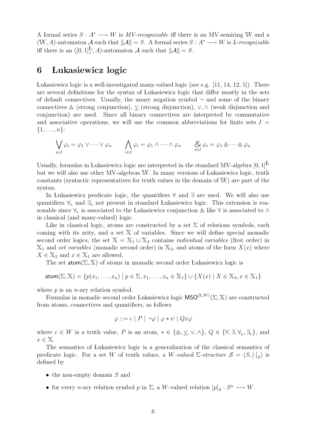A formal series  $S: A^* \longrightarrow W$  is *MV-recognizable* iff there is an MV-semiring W and a  $(W, A)$ -automaton A such that  $||A|| = S$ . A formal series  $S : A^* \longrightarrow W$  is L-recognizable iff there is an  $([0,1]_{\vee}^{\mathbf{L}}, A)$ -automaton A such that  $||A|| = S$ .

#### 6 Lukasiewicz logic

 Lukasiewicz logic is a well-investigated many-valued logic (see e.g. [11, 14, 12, 5]). There are several definitions for the syntax of Lukasiewicz logic that differ mostly in the sets of default connectives. Usually, the unary negation symbol  $\neg$  and some of the binary connectives & (strong conjunction),  $\vee$  (strong disjunction),  $\vee$ ,  $\wedge$  (weak disjunction and conjunction) are used. Since all binary connectives are interpreted by commutative and associative operations, we will use the common abbreviations for finite sets  $I =$  $\{1, \ldots, n\}$ :

$$
\bigvee_{i\in I}\varphi_i=\varphi_1\vee\cdots\vee\varphi_n\qquad\bigwedge_{i\in I}\varphi_i=\varphi_1\wedge\cdots\wedge\varphi_n\qquad\bigotimes_{i\in I}\varphi_i=\varphi_1\otimes\cdots\otimes\varphi_n
$$

Usually, formulas in Lukasiewicz logic are interpreted in the standard MV-algebra  $[0, 1]^L$ but we will also use other MV-algebras W. In many versions of Lukasiewicz logic, truth constants (syntactic representatives for truth values in the domain of W) are part of the syntax.

In Lukasiewicz predicate logic, the quantifiers ∀ and ∃ are used. We will also use quantifiers  $\forall_L$  and  $\exists_L$  not present in standard Lukasiewicz logic. This extension is reasonable since  $\forall_L$  is associated to the Lukasiewicz conjunction  $\otimes$  like  $\forall$  is associated to  $\wedge$ in classical (and many-valued) logic.

Like in classical logic, atoms are constructed by a set  $\Sigma$  of relations symbols, each coming with its arity, and a set  $X$  of variables. Since we will define special monadic second order logics, the set  $X = X_1 \cup X_2$  contains *individual variables* (first order) in  $\mathbb{X}_1$  and set variables (monadic second order) in  $\mathbb{X}_2$ , and atoms of the form  $X(x)$  where  $X \in \mathbb{X}_2$  and  $x \in \mathbb{X}_1$  are allowed.

The set  $atom(\Sigma, \mathbb{X})$  of atoms in monadic second order Lukasiewicz logic is

$$
\mathsf{atom}(\Sigma, \mathbb{X}) = \{p(x_1, \ldots, x_n) \mid p \in \Sigma, x_1, \ldots, x_n \in \mathbb{X}_1\} \cup \{X(x) \mid X \in \mathbb{X}_2, x \in \mathbb{X}_1\}
$$

where  $p$  is an *n*-ary relation symbol.

Formulas in monadic second order Lukasiewicz logic  $\mathsf{MSO}^{(\mathrm{L}, W)}(\Sigma, \mathbb{X})$  are constructed from atoms, connectives and quantifiers, as follows

$$
\varphi ::= c \mid P \mid \neg \varphi \mid \varphi * \psi \mid Qx\varphi
$$

where  $c \in W$  is a truth value, P is an atom,  $* \in \{8, \vee, \vee, \wedge\}$ ,  $Q \in \{\forall, \exists, \forall_L, \exists_L\}$ , and  $x \in \mathbb{X}$ .

The semantics of Lukasiewicz logic is a generalization of the classical semantics of predicate logic. For a set W of truth values, a W-valued  $\Sigma$ -structure  $S = (S, [\cdot]_S)$  is defined by

- $\bullet$  the non-empty domain  $S$  and
- for every *n*-ary relation symbol *p* in  $\Sigma$ , a *W*-valued relation  $[p]_S : S^n \longrightarrow W$ .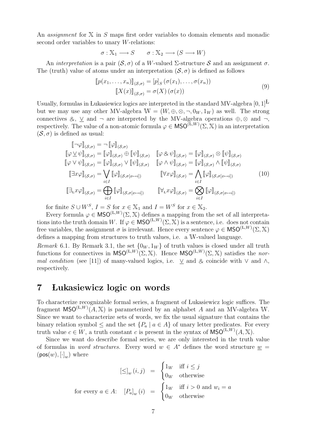An *assignment* for X in S maps first order variables to domain elements and monadic second order variables to unary W-relations:

$$
\sigma: \mathbb{X}_1 \longrightarrow S \qquad \sigma: \mathbb{X}_2 \longrightarrow (S \longrightarrow W)
$$

An interpretation is a pair  $(\mathcal{S}, \sigma)$  of a W-valued  $\Sigma$ -structure S and an assignment  $\sigma$ . The (truth) value of atoms under an interpretation  $(S, \sigma)$  is defined as follows

$$
[p(x_1, \ldots, x_n)]_{(\mathcal{S}, \sigma)} = [p]_S (\sigma(x_1), \ldots, \sigma(x_n))
$$
  

$$
[X(x)]_{(\mathcal{S}, \sigma)} = \sigma(X) (\sigma(x))
$$
 (9)

Usually, formulas in Lukasiewicz logics are interpreted in the standard MV-algebra  $[0, 1]^L$ but we may use any other MV-algebra  $W = (W, \oplus, \otimes, \neg, 0_W, 1_W)$  as well. The strong connectives &,  $\vee$  and  $\neg$  are interpreted by the MV-algebra operations  $\oplus$ ,  $\otimes$  and  $\neg$ , respectively. The value of a non-atomic formula  $\varphi \in \mathsf{MSO}^{(\mathrm{L}, W)}(\Sigma, \mathbb{X})$  in an interpretation  $(\mathcal{S}, \sigma)$  is defined as usual:

$$
\begin{aligned}\n\llbracket \neg \varphi \rrbracket_{(\mathcal{S},\sigma)} &= \neg \llbracket \varphi \rrbracket_{(\mathcal{S},\sigma)} \\
\llbracket \varphi \vee \psi \rrbracket_{(\mathcal{S},\sigma)} &= \llbracket \varphi \rrbracket_{(\mathcal{S},\sigma)} \oplus \llbracket \psi \rrbracket_{(\mathcal{S},\sigma)} \\
\llbracket \varphi \wedge \psi \rrbracket_{(\mathcal{S},\sigma)} &= \llbracket \varphi \rrbracket_{(\mathcal{S},\sigma)} \vee \llbracket \psi \rrbracket_{(\mathcal{S},\sigma)} \\
\llbracket \varphi \wedge \psi \rrbracket_{(\mathcal{S},\sigma)} &= \llbracket \varphi \rrbracket_{(\mathcal{S},\sigma)} \wedge \llbracket \psi \rrbracket_{(\mathcal{S},\sigma)} \\
\llbracket \exists x \varphi \rrbracket_{(\mathcal{S},\sigma)} &= \bigvee_{i \in I} \llbracket \varphi \rrbracket_{(\mathcal{S},\sigma[x \mapsto i])} \qquad \llbracket \forall x \varphi \rrbracket_{(\mathcal{S},\sigma)} &= \bigwedge_{i \in I} \llbracket \varphi \rrbracket_{(\mathcal{S},\sigma[x \mapsto i])} \qquad (10) \\
\llbracket \exists_{\mathrm{L}} x \varphi \rrbracket_{(\mathcal{S},\sigma)} &= \bigoplus_{i \in I} \llbracket \varphi \rrbracket_{(\mathcal{S},\sigma[x \mapsto i])} \qquad \llbracket \forall_{\mathrm{L}} x \varphi \rrbracket_{(\mathcal{S},\sigma)} &= \bigotimes_{i \in I} \llbracket \varphi \rrbracket_{(\mathcal{S},\sigma[x \mapsto i])}\n\end{aligned}
$$

for finite  $S \cup W^S$ ,  $I = S$  for  $x \in \mathbb{X}_1$  and  $I = W^S$  for  $x \in \mathbb{X}_2$ .

Every formula  $\varphi \in \mathsf{MSO}^{(L,W)}(\Sigma, \mathbb{X})$  defines a mapping from the set of all interpretations into the truth domain W. If  $\varphi \in \mathsf{MSO}^{(L,W)}(\Sigma, \mathbb{X})$  is a sentence, i.e. does not contain free variables, the assignment  $\sigma$  is irrelevant. Hence every sentence  $\varphi \in \mathsf{MSO}^{(L,W)}(\Sigma, \mathbb{X})$ defines a mapping from structures to truth values, i.e. a W-valued language.

Remark 6.1. By Remark 3.1, the set  $\{0_W, 1_W\}$  of truth values is closed under all truth functions for connectives in  $\mathsf{MSO}^{(L,W)}(\Sigma, \mathbb{X})$ . Hence  $\mathsf{MSO}^{(L,W)}(\Sigma, \mathbb{X})$  satisfies the normal condition (see [11]) of many-valued logics, i.e.  $\vee$  and & coincide with  $\vee$  and  $\wedge$ , respectively.

#### 7 Lukasiewicz logic on words

To characterize recognizable formal series, a fragment of Lukasiewicz logic suffices. The fragment  $\mathsf{MSO}^{(L,W)}(A, X)$  is parameterized by an alphabet A and an MV-algebra W. Since we want to characterize sets of words, we fix the usual signature that contains the binary relation symbol  $\leq$  and the set  $\{P_a \mid a \in A\}$  of unary letter predicates. For every truth value  $c \in W$ , a truth constant c is present in the syntax of  $\mathsf{MSO}^{(\mathrm{L},W)}(A,\mathbb{X})$ .

Since we want do describe formal series, we are only interested in the truth value of formulas in *word structures*. Every word  $w \in A^*$  defines the word structure  $w =$  $(\textsf{pos}(w), [\cdot]_w)$  where

$$
[\leq]_w(i,j) = \begin{cases} 1_W & \text{iff } i \leq j \\ 0_W & \text{otherwise} \end{cases}
$$
  
for every  $a \in A$ :  $[P_a]_w(i) = \begin{cases} 1_W & \text{iff } i > 0 \text{ and } w_i = a \\ 0_W & \text{otherwise} \end{cases}$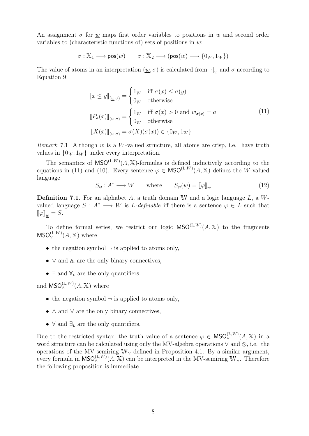An assignment  $\sigma$  for w maps first order variables to positions in w and second order variables to (characteristic functions of) sets of positions in  $w$ :

$$
\sigma: \mathbb{X}_1 \longrightarrow \mathsf{pos}(w) \qquad \sigma: \mathbb{X}_2 \longrightarrow (\mathsf{pos}(w) \longrightarrow \{0_W, 1_W\})
$$

The value of atoms in an interpretation  $(\underline{w}, \sigma)$  is calculated from  $[\cdot]_{\underline{w}}$  and  $\sigma$  according to Equation 9:

$$
\llbracket x \le y \rrbracket_{(\underline{w}, \sigma)} = \begin{cases} 1_W & \text{iff } \sigma(x) \le \sigma(y) \\ 0_W & \text{otherwise} \end{cases}
$$
\n
$$
\llbracket P_a(x) \rrbracket_{(\underline{w}, \sigma)} = \begin{cases} 1_W & \text{iff } \sigma(x) > 0 \text{ and } w_{\sigma(x)} = a \\ 0_W & \text{otherwise} \end{cases}
$$
\n
$$
\llbracket X(x) \rrbracket_{(\underline{w}, \sigma)} = \sigma(X)(\sigma(x)) \in \{0_W, 1_W\}
$$
\n
$$
(11)
$$

Remark 7.1. Although  $w$  is a W-valued structure, all atoms are crisp, i.e. have truth values in  $\{0_W, 1_W\}$  under every interpretation.

The semantics of  $\mathsf{MSO}^{(L,W)}(A, X)$ -formulas is defined inductively according to the equations in (11) and (10). Every sentence  $\varphi \in \mathsf{MSO}^{(L,W)}(A, \mathbb{X})$  defines the W-valued language

$$
S_{\varphi}: A^* \longrightarrow W \qquad \text{where} \qquad S_{\varphi}(w) = [\![\varphi]\!]_{\underline{w}} \tag{12}
$$

**Definition 7.1.** For an alphabet A, a truth domain W and a logic language  $L$ , a Wvalued language  $S : A^* \longrightarrow W$  is L-definable iff there is a sentence  $\varphi \in L$  such that  $[\![\varphi]\!]_w = S.$ 

To define formal series, we restrict our logic  $\mathsf{MSO}^{(L,W)}(A,\mathbb{X})$  to the fragments  $\mathsf{MSO}^{(\mathrm{L}, W)}_\vee(A, \mathbb{X})$  where

- the negation symbol  $\neg$  is applied to atoms only,
- $\vee$  and  $\&$  are the only binary connectives,
- $\exists$  and  $\forall_{\text{L}}$  are the only quantifiers.

and  $\mathsf{MSO}^{(\mathrm{L}, W)}_\wedge(A, \mathbb{X})$  where

- the negation symbol  $\neg$  is applied to atoms only,
- $\land$  and  $\lor$  are the only binary connectives,
- $\forall$  and  $\exists_{\text{L}}$  are the only quantifiers.

Due to the restricted syntax, the truth value of a sentence  $\varphi \in \mathsf{MSO}_{\vee}^{(\mathbf{L},W)}(A,\mathbb{X})$  in a word structure can be calculated using only the MV-algebra operations ∨ and ⊗, i.e. the operations of the MV-semiring  $W_y$  defined in Proposition 4.1. By a similar argument, every formula in  $\mathsf{MSO}_{\wedge}^{(\mathbf{L},W)}(A,\mathbb{X})$  can be interpreted in the MV-semiring  $\mathbb{W}_{\wedge}$ . Therefore the following proposition is immediate.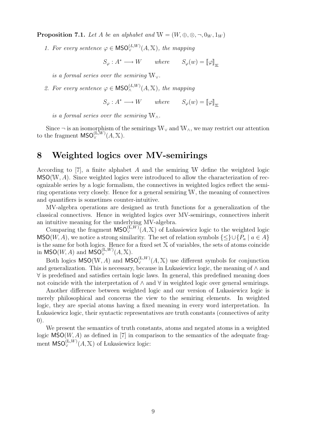**Proposition 7.1.** Let A be an alphabet and  $W = (W, \oplus, \otimes, \neg, 0_W, 1_W)$ 

1. For every sentence  $\varphi \in \mathsf{MSO}_{\vee}^{(L,W)}(A, \mathbb{X}),$  the mapping

 $S_{\varphi}: A^* \longrightarrow W$  where  $S_{\varphi}(w) = [\![\varphi]\!]_{w}$ 

is a formal series over the semiring  $\mathbb{W}_{\vee}$ .

2. For every sentence  $\varphi \in \mathsf{MSO}_{\wedge}^{(L,W)}(A,\mathbb{X}),$  the mapping

$$
S_{\varphi}: A^* \longrightarrow W \qquad \text{where} \qquad S_{\varphi}(w) = \llbracket \varphi \rrbracket_{\underline{w}}
$$

is a formal series over the semiring  $\mathbb{W}_{\wedge}$ .

Since  $\neg$  is an isomorphism of the semirings W<sub> $\vee$ </sub> and W<sub> $\wedge$ </sub>, we may restrict our attention to the fragment  $\mathsf{MSO}^{(\mathbf{L},W)}_\vee(A,\mathbb{X}).$ 

#### 8 Weighted logics over MV-semirings

According to [7], a finite alphabet A and the semiring W define the weighted logic  $\mathsf{MSO}(W, A)$ . Since weighted logics were introduced to allow the characterization of recognizable series by a logic formalism, the connectives in weighted logics reflect the semiring operations very closely. Hence for a general semiring W, the meaning of connectives and quantifiers is sometimes counter-intuitive.

MV-algebra operations are designed as truth functions for a generalization of the classical connectives. Hence in weighted logics over MV-semirings, connectives inherit an intuitive meaning for the underlying MV-algebra.

Comparing the fragment  $\mathsf{MSO}_{\vee}^{(\mathbf{L},W)}(A,\mathbb{X})$  of Lukasiewicz logic to the weighted logic MSO(W, A), we notice a strong similarity. The set of relation symbols  $\{\leq\} \cup \{P_a \mid a \in A\}$ is the same for both logics. Hence for a fixed set X of variables, the sets of atoms coincide in  $\mathsf{MSO}(W, A)$  and  $\mathsf{MSO}^{(\mathbf{L}, W)}_\vee(A, \mathbb{X}).$ 

Both logics  $\mathsf{MSO}(W, A)$  and  $\mathsf{MSO}_{V}^{(L,W)}(A, X)$  use different symbols for conjunction and generalization. This is necessary, because in Lukasiewicz logic, the meaning of  $\wedge$  and ∀ is predefined and satisfies certain logic laws. In general, this predefined meaning does not coincide with the interpretation of  $\wedge$  and  $\forall$  in weighted logic over general semirings.

Another difference between weighted logic and our version of Lukasiewicz logic is merely philosophical and concerns the view to the semiring elements. In weighted logic, they are special atoms having a fixed meaning in every word interpretation. In Lukasiewicz logic, their syntactic representatives are truth constants (connectives of arity 0).

We present the semantics of truth constants, atoms and negated atoms in a weighted logic  $\mathsf{MSO}(W, A)$  as defined in [7] in comparison to the semantics of the adequate fragment  $\mathsf{MSO}^{(\mathrm{L}, W)}_\vee(A, \mathbb{X})$  of Lukasiewicz logic: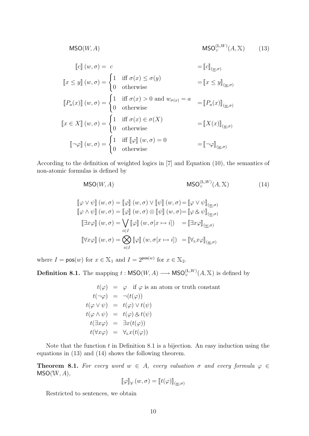$$
\mathsf{MSO}(W, A) \qquad \mathsf{MSO}^{(\mathbf{L}, W)}_{\vee}(A, \mathbb{X}) \qquad (13)
$$

$$
\llbracket c \rrbracket (w, \sigma) = c
$$
\n
$$
\llbracket x \le y \rrbracket (w, \sigma) = \begin{cases}\n1 & \text{iff } \sigma(x) \le \sigma(y) \\
0 & \text{otherwise}\n\end{cases} = \llbracket x \le y \rrbracket_{(\underline{w}, \sigma)}
$$
\n
$$
\llbracket P_a(x) \rrbracket (w, \sigma) = \begin{cases}\n1 & \text{iff } \sigma(x) > 0 \text{ and } w_{\sigma(x)} = a \\
0 & \text{otherwise}\n\end{cases} = \llbracket P_a(x) \rrbracket_{(\underline{w}, \sigma)}
$$
\n
$$
\llbracket x \in X \rrbracket (w, \sigma) = \begin{cases}\n1 & \text{iff } \sigma(x) \in \sigma(X) \\
0 & \text{otherwise}\n\end{cases} = \llbracket X(x) \rrbracket_{(\underline{w}, \sigma)}
$$
\n
$$
\llbracket \neg \varphi \rrbracket (w, \sigma) = \begin{cases}\n1 & \text{iff } \llbracket \varphi \rrbracket (w, \sigma) = 0 \\
0 & \text{otherwise}\n\end{cases} = \llbracket \neg \varphi \rrbracket_{(\underline{w}, \sigma)}
$$

According to the definition of weighted logics in [7] and Equation (10), the semantics of non-atomic formulas is defined by

$$
\begin{aligned}\n\text{MSO}(W, A) & \text{MSO}_{\vee}^{(\mathbf{L}, W)}(A, \mathbb{X}) \\
\llbracket \varphi \lor \psi \rrbracket (w, \sigma) &= \llbracket \varphi \rrbracket (w, \sigma) \lor \llbracket \psi \rrbracket (w, \sigma) = \llbracket \varphi \lor \psi \rrbracket_{\langle \underline{w}, \sigma \rangle} \\
\llbracket \varphi \land \psi \rrbracket (w, \sigma) &= \llbracket \varphi \rrbracket (w, \sigma) \otimes \llbracket \psi \rrbracket (w, \sigma) = \llbracket \varphi \otimes \psi \rrbracket_{\langle \underline{w}, \sigma \rangle} \\
\llbracket \exists x \varphi \rrbracket (w, \sigma) &= \bigvee_{i \in I} \llbracket \varphi \rrbracket (w, \sigma[x \mapsto i]) \\
&= \llbracket \exists x \varphi \rrbracket_{\langle \underline{w}, \sigma \rangle} \\
\llbracket \forall x \varphi \rrbracket (w, \sigma) &= \bigotimes_{i \in I} \llbracket \varphi \rrbracket (w, \sigma[x \mapsto i]) \\
&= \llbracket \forall_{\mathbf{L}} x \varphi \rrbracket_{\langle \underline{w}, \sigma \rangle} \\
\end{aligned}
$$
\n(14)

where  $I = \text{pos}(w)$  for  $x \in \mathbb{X}_1$  and  $I = 2^{\text{pos}(w)}$  for  $x \in \mathbb{X}_2$ .

**Definition 8.1.** The mapping  $t : \mathsf{MSO}(W, A) \longrightarrow \mathsf{MSO}_{\vee}^{(\mathbf{L}, W)}(A, \mathbb{X})$  is defined by

$$
t(\varphi) = \varphi \quad \text{if } \varphi \text{ is an atom or truth constant}
$$
  
\n
$$
t(\neg \varphi) = \neg(t(\varphi))
$$
  
\n
$$
t(\varphi \lor \psi) = t(\varphi) \lor t(\psi)
$$
  
\n
$$
t(\varphi \land \psi) = t(\varphi) \otimes t(\psi)
$$
  
\n
$$
t(\exists x \varphi) = \exists x(t(\varphi))
$$
  
\n
$$
t(\forall x \varphi) = \forall_{L} x(t(\varphi))
$$

Note that the function  $t$  in Definition 8.1 is a bijection. An easy induction using the equations in (13) and (14) shows the following theorem.

**Theorem 8.1.** For every word  $w \in A$ , every valuation  $\sigma$  and every formula  $\varphi \in A$  $\mathsf{MSO}({\mathbb{W}},A),$ 

$$
\llbracket \varphi \rrbracket_{\mathcal{V}}(w, \sigma) = \llbracket t(\varphi) \rrbracket_{(\underline{w}, \sigma)}
$$

Restricted to sentences, we obtain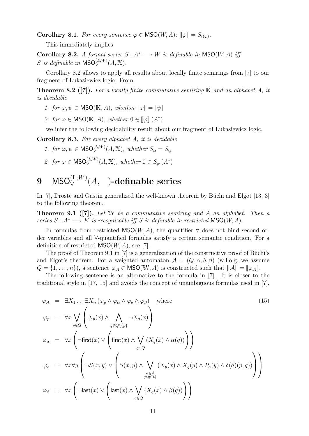**Corollary 8.1.** For every sentence  $\varphi \in \mathsf{MSO}(W, A)$ :  $[\![\varphi]\!] = S_{t(\varphi)}$ .

This immediately implies

Corollary 8.2. A formal series  $S: A^* \longrightarrow W$  is definable in MSO(W, A) iff S is definable in  $\mathsf{MSO}^{(L,W)}_\vee(A,\mathbb{X})$ .

Corollary 8.2 allows to apply all results about locally finite semirings from [7] to our fragment of Lukasiewicz logic. From

**Theorem 8.2** ([7]). For a locally finite commutative semiring  $\mathbb{K}$  and an alphabet A, it is decidable

1. for  $\varphi, \psi \in \text{MSO}(\mathbb{K}, A)$ , whether  $\llbracket \varphi \rrbracket = \llbracket \psi \rrbracket$ 

2. for  $\varphi \in \text{MSO}(\mathbb{K}, A)$ , whether  $0 \in [\![\varphi]\!]$   $(A^*)$ 

we infer the following decidability result about our fragment of Lukasiewicz logic.

Corollary 8.3. For every alphabet A, it is decidable

- 1. for  $\varphi, \psi \in \mathsf{MSO}_{\vee}^{(L,W)}(A, \mathbb{X}),$  whether  $S_{\varphi} = S_{\psi}$
- 2. for  $\varphi \in \mathsf{MSO}_{\vee}^{(L,W)}(A,\mathbb{X})$ , whether  $0 \in S_{\varphi}(A^*)$

# $\mathbf 9 \quad \mathsf{MSO}^{(\mathbf L,W)}_\vee(A,{\mathsf X})\text{-definable series}$

In  $[7]$ , Droste and Gastin generalized the well-known theorem by Büchi and Elgot  $[13, 3]$ to the following theorem.

**Theorem 9.1** ([7]). Let W be a commutative semiring and A an alphabet. Then a series  $S: A^* \longrightarrow K$  is recognizable iff S is definable in restricted MSO(W, A).

In formulas from restricted MSO(W, A), the quantifier  $\forall$  does not bind second order variables and all ∀-quantified formulas satisfy a certain semantic condition. For a definition of restricted  $\mathsf{MSO}(W, A)$ , see [7].

The proof of Theorem 9.1 in  $[7]$  is a generalization of the constructive proof of Büchi's and Elgot's theorem. For a weighted automaton  $\mathcal{A} = (Q, \alpha, \delta, \beta)$  (w.l.o.g. we assume  $Q = \{1, \ldots, n\}$ , a sentence  $\varphi_A \in \mathsf{MSO}(W, A)$  is constructed such that  $||A|| = ||\varphi_A||$ .

The following sentence is an alternative to the formula in [7]. It is closer to the traditional style in [17, 15] and avoids the concept of unambiguous formulas used in [7].

$$
\varphi_{A} = \exists X_{1} ... \exists X_{n} (\varphi_{p} \land \varphi_{\alpha} \land \varphi_{\delta} \land \varphi_{\beta}) \text{ where}
$$
\n
$$
\varphi_{p} = \forall x \bigvee_{p \in Q} \left( X_{p}(x) \land \bigwedge_{q \in Q \setminus \{p\}} \neg X_{q}(x) \right)
$$
\n
$$
\varphi_{\alpha} = \forall x \left( \neg \text{first}(x) \lor \left( \text{first}(x) \land \bigvee_{q \in Q} (X_{q}(x) \land \alpha(q)) \right) \right)
$$
\n
$$
\varphi_{\delta} = \forall x \forall y \left( \neg S(x, y) \lor \left( S(x, y) \land \bigvee_{\substack{a \in A \\ p, q \in Q}} (X_{p}(x) \land X_{q}(y) \land P_{a}(y) \land \delta(a)(p, q)) \right) \right)
$$
\n
$$
\varphi_{\beta} = \forall x \left( \neg \text{last}(x) \lor \left( \text{last}(x) \land \bigvee_{q \in Q} (X_{q}(x) \land \beta(q)) \right) \right)
$$
\n(15)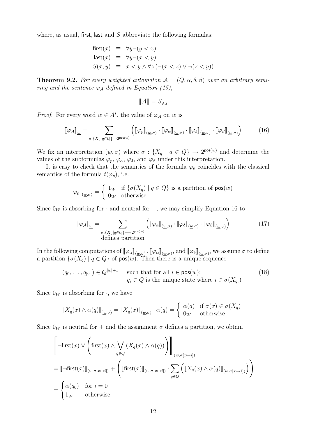where, as usual, first, last and  $S$  abbreviate the following formulas:

$$
first(x) \equiv \forall y \neg (y < x)
$$
\n
$$
last(x) \equiv \forall y \neg (x < y)
$$
\n
$$
S(x, y) \equiv x < y \land \forall z (\neg (x < z) \lor \neg (z < y))
$$

**Theorem 9.2.** For every weighted automaton  $A = (Q, \alpha, \delta, \beta)$  over an arbitrary semiring and the sentence  $\varphi_A$  defined in Equation (15),

$$
\|\mathcal{A}\| = S_{\varphi_{\mathcal{A}}}
$$

*Proof.* For every word  $w \in A^*$ , the value of  $\varphi_A$  on w is

$$
\llbracket \varphi_{\mathcal{A}} \rrbracket_{\underline{w}} = \sum_{\sigma: \{X_q | q \in Q\} \to 2^{\text{pos}(w)}} \left( \llbracket \varphi_p \rrbracket_{(\underline{w}, \sigma)} \cdot \llbracket \varphi_{\alpha} \rrbracket_{(\underline{w}, \sigma)} \cdot \llbracket \varphi_{\delta} \rrbracket_{(\underline{w}, \sigma)} \cdot \llbracket \varphi_{\beta} \rrbracket_{(\underline{w}, \sigma)} \right) \tag{16}
$$

We fix an interpretation  $(\underline{w}, \sigma)$  where  $\sigma : \{X_q | q \in Q\} \to 2^{\text{pos}(w)}$  and determine the values of the subformulas  $\varphi_p$ ,  $\varphi_\alpha$ ,  $\varphi_\delta$ , and  $\varphi_\beta$  under this interpretation.

It is easy to check that the semantics of the formula  $\varphi_p$  coincides with the classical semantics of the formula  $t(\varphi_p)$ , i.e.

$$
\llbracket \varphi_p \rrbracket_{(\underline{w}, \sigma)} = \begin{cases} 1_W & \text{if } \{\sigma(X_q) \mid q \in Q\} \text{ is a partition of } \mathsf{pos}(w) \\ 0_W & \text{otherwise} \end{cases}
$$

Since  $0_W$  is absorbing for  $\cdot$  and neutral for  $+$ , we may simplify Equation 16 to

$$
\llbracket \varphi_{\mathcal{A}} \rrbracket_{\underline{w}} = \sum_{\substack{\sigma: \{X_q | q \in Q\} \longrightarrow 2^{\text{pos}(w)} \\ \text{defines partition}} } \left( \llbracket \varphi_{\alpha} \rrbracket_{(\underline{w}, \sigma)} \cdot \llbracket \varphi_{\delta} \rrbracket_{(\underline{w}, \sigma)} \cdot \llbracket \varphi_{\beta} \rrbracket_{(\underline{w}, \sigma)} \right)
$$
(17)

In the following computations of  $[\![\varphi_\alpha]\!]_{(\underline{w},\sigma)}$ ,  $[\![\varphi_\alpha]\!]_{(\underline{w},\sigma)}$ , and  $[\![\varphi_\delta]\!]_{(\underline{w},\sigma)}$ , we assume  $\sigma$  to define a partition  $\{\sigma(X_q) \mid q \in Q\}$  of  $\mathsf{pos}(w)$ . Then there is a unique sequence

$$
(q_0, \ldots, q_{|w|}) \in Q^{|w|+1} \qquad \text{such that for all } i \in \text{pos}(w):
$$
  

$$
q_i \in Q \text{ is the unique state where } i \in \sigma(X_{q_i})
$$
 (18)

Since  $0_W$  is absorbing for  $\cdot$ , we have

$$
\llbracket X_q(x) \wedge \alpha(q) \rrbracket_{(\underline{w}, \sigma)} = \llbracket X_q(x) \rrbracket_{(\underline{w}, \sigma)} \cdot \alpha(q) = \begin{cases} \alpha(q) & \text{if } \sigma(x) \in \sigma(X_q) \\ 0_W & \text{otherwise} \end{cases}
$$

Since  $0_W$  is neutral for  $+$  and the assignment  $\sigma$  defines a partition, we obtain

t ¬first(x) ∨ first(x) ∧ \_ q∈Q (Xq(x) <sup>∧</sup> <sup>α</sup>(q))!<sup>|</sup> (w,σ[x7→i]) <sup>=</sup> <sup>J</sup>¬first(x)K(w,σ[x7→i]) <sup>+</sup> <sup>J</sup>first(x)K(w,σ[x7→i]) · X q∈Q <sup>J</sup>Xq(x) <sup>∧</sup> <sup>α</sup>(q)<sup>K</sup> (w,σ[x7→1]) ! = ( α(q0) for i = 0 1<sup>W</sup> otherwise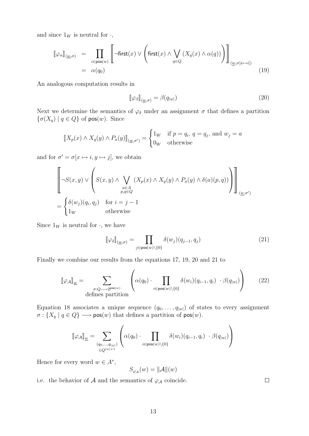and since  $1_W$  is neutral for  $\cdot$ ,

$$
\begin{array}{rcl}\n\llbracket \varphi_{\alpha} \rrbracket_{(\underline{w}, \sigma)} & = & \prod_{i \in \text{pos}(w)} \left[ \neg \text{first}(x) \vee \left( \text{first}(x) \wedge \bigvee_{q \in Q} \left( X_q(x) \wedge \alpha(q) \right) \right) \right] \\
& = & \alpha(q_0)\n\end{array} \tag{19}
$$

An analogous computation results in

$$
\llbracket \varphi_{\beta} \rrbracket_{(\underline{w}, \sigma)} = \beta(q_{|w|}) \tag{20}
$$

Next we determine the semantics of  $\varphi_{\delta}$  under an assignment  $\sigma$  that defines a partition  $\{\sigma(X_q) \mid q \in Q\}$  of pos $(w)$ . Since

$$
\llbracket X_p(x) \wedge X_q(y) \wedge P_a(y) \rrbracket_{(\underline{w}, \sigma')} = \begin{cases} 1_W & \text{if } p = q_i, q = q_j, \text{ and } w_j = a \\ 0_W & \text{otherwise} \end{cases}
$$

and for  $\sigma' = \sigma[x \mapsto i, y \mapsto j]$ , we obtain

$$
\begin{aligned}\n&\left[\neg S(x,y) \vee \left(S(x,y) \wedge \bigvee_{\substack{a \in A \\ p,q \in Q}} (X_p(x) \wedge X_q(y) \wedge P_a(y) \wedge \delta(a)(p,q))\right)\right] \\
&= \begin{cases}\n\delta(w_j)(q_i, q_j) & \text{for } i = j - 1 \\
1_W & \text{otherwise}\n\end{cases}\n\end{aligned}
$$

Since  $1_W$  is neutral for  $\cdot$ , we have

$$
\llbracket \varphi_{\delta} \rrbracket_{(\underline{w}, \sigma)} = \prod_{j \in \text{pos}(w) \setminus \{0\}} \delta(w_j)(q_{j-1}, q_j) \tag{21}
$$

Finally we combine our results from the equations 17, 19, 20 and 21 to

$$
\llbracket \varphi_{\mathcal{A}} \rrbracket_{\underline{w}} = \sum_{\substack{\sigma: Q \longrightarrow 2^{\text{pos}(w)} \\ \text{defines partition}} } \left( \alpha(q_0) \cdot \prod_{i \in \text{pos}(w) \setminus \{0\}} \delta(w_i)(q_{i-1}, q_i) \cdot \beta(q_{|w|}) \right) \tag{22}
$$

Equation 18 associates a unique sequence  $(q_0, \ldots, q_{|w|})$  of states to every assignment  $\sigma: \{X_q \mid q \in Q\} \longrightarrow \text{pos}(w)$  that defines a partition of  $\text{pos}(w)$ .

$$
\llbracket \varphi_{\mathcal{A}} \rrbracket_{\underline{w}} = \sum_{\substack{(q_0, \ldots, q_{|w|}) \\ \in Q^{|w|+1}}} \left( \alpha(q_0) \cdot \prod_{i \in \text{pos}(w) \setminus \{0\}} \delta(w_i)(q_{i-1}, q_i) \cdot \beta(q_{|w|}) \right)
$$

Hence for every word  $w \in A^*$ ,

$$
S_{\varphi_{\mathcal{A}}}(w) = ||\mathcal{A}||(w)
$$

i.e. the behavior of  $A$  and the semantics of  $\varphi_A$  coincide.

 $\Box$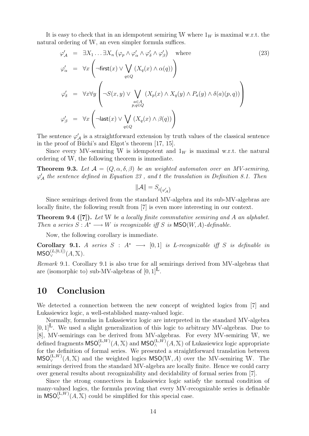It is easy to check that in an idempotent semiring W where  $1_W$  is maximal w.r.t. the natural ordering of W, an even simpler formula suffices.

$$
\varphi'_{\mathcal{A}} = \exists X_1 \dots \exists X_n \left( \varphi_p \land \varphi'_{\alpha} \land \varphi'_{\beta} \land \varphi'_{\beta} \right) \text{ where}
$$
\n
$$
\varphi'_{\alpha} = \forall x \left( \neg \text{first}(x) \lor \bigvee_{q \in Q} (X_q(x) \land \alpha(q)) \right)
$$
\n
$$
\varphi'_{\delta} = \forall x \forall y \left( \neg S(x, y) \lor \bigvee_{\substack{a \in A \\ p, q \in Q}} (X_p(x) \land X_q(y) \land P_a(y) \land \delta(a)(p, q)) \right)
$$
\n
$$
\varphi'_{\beta} = \forall x \left( \neg \text{last}(x) \lor \bigvee_{q \in Q} (X_q(x) \land \beta(q)) \right)
$$
\n(23)

The sentence  $\varphi'_{\mathcal{A}}$  is a straightforward extension by truth values of the classical sentence in the proof of Büchi's and Elgot's theorem  $[17, 15]$ .

Since every MV-semiring W is idempotent and  $1_W$  is maximal w.r.t. the natural ordering of W, the following theorem is immediate.

**Theorem 9.3.** Let  $A = (Q, \alpha, \delta, \beta)$  be an weighted automaton over an MV-semiring,  $\varphi_{\mathcal{A}}'$  the sentence defined in Equation 23, and t the translation in Definition 8.1. Then

$$
\|\mathcal{A}\| = S_{t(\varphi_{\mathcal{A}}')}
$$

Since semirings derived from the standard MV-algebra and its sub-MV-algebras are locally finite, the following result from [7] is even more interesting in our context.

**Theorem 9.4 ([7]).** Let  $W$  be a locally finite commutative semiring and  $A$  an alphabet. Then a series  $S : A^* \longrightarrow W$  is recognizable iff S is  $\mathsf{MSO}(W, A)$ -definable.

Now, the following corollary is immediate.

Corollary 9.1. A series  $S : A^* \longrightarrow [0,1]$  is L-recognizable iff S is definable in  $\mathsf{MSO}^{(L,[0,1])}_\vee(A,\mathbb{X}).$ 

Remark 9.1. Corollary 9.1 is also true for all semirings derived from MV-algebras that are (isomorphic to) sub-MV-algebras of  $[0, 1]^L$ .

#### 10 Conclusion

We detected a connection between the new concept of weighted logics from [7] and Lukasiewicz logic, a well-established many-valued logic.

Normally, formulas in Lukasiewicz logic are interpreted in the standard MV-algebra  $[0,1]$ <sup>L</sup>. We used a slight generalization of this logic to arbitrary MV-algebras. Due to [8], MV-semirings can be derived from MV-algebras. For every MV-semiring W, we defined fragments  $\mathsf{MSO}^{(\mathrm{L}, W)}_\vee(A, \mathbb{X})$  and  $\mathsf{MSO}^{(\mathrm{L}, W)}_\wedge(A, \mathbb{X})$  of Lukasiewicz logic appropriate for the definition of formal series. We presented a straightforward translation between  $\mathsf{MSO}_{\vee}^{(\mathrm{L},W)}(A,\mathbb{X})$  and the weighted logics  $\mathsf{MSO}(\mathbb{W},A)$  over the MV-semiring W. The semirings derived from the standard MV-algebra are locally finite. Hence we could carry over general results about recognizability and decidability of formal series from [7].

Since the strong connectives in Lukasiewicz logic satisfy the normal condition of many-valued logics, the formula proving that every MV-recognizable series is definable in  $\mathsf{MSO}_{\vee}^{(\mathbf{L},W)}(A,\mathbb{X})$  could be simplified for this special case.